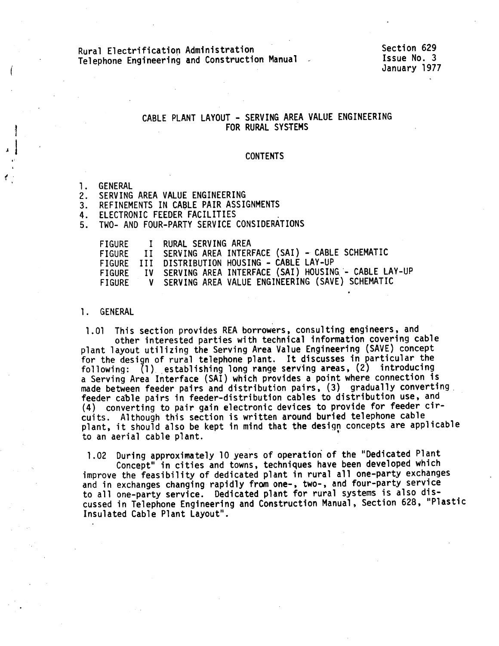# Rural Electrification Administration Telephone Engineering and Construction Manual

Section 629 lssue No. 3 January 1977

## CABLE PLANT LAYOUT - SERVING AREA VALUE ENGINEERING FOR RURAL SYSTEMS

#### CONTENTS

1. GENERAL

 $\mathbf{r}$ 

- 2. SERVING AREA VALUE ENGINEERING
- 3. REFINEMENTS IN CABLE PAIR ASSIGNMENTS

4. ELECTRONIC FEEDER FACILITIES

5. TWO- AND FOUR-PARTY SERVICE CONSIDERATIONS

| FIGURE | I RURAL SERVING AREA                                     |  |
|--------|----------------------------------------------------------|--|
|        | FIGURE II SERVING AREA INTERFACE (SAI) - CABLE SCHEMATIC |  |
|        | FIGURE III DISTRIBUTION HOUSING - CABLE LAY-UP           |  |
| FIGURE | IV SERVING AREA INTERFACE (SAI) HOUSING - CABLE LAY-UP   |  |
| FIGURE | V SERVING AREA VALUE ENGINEERING (SAVE) SCHEMATIC        |  |

### 1. GENERAL

1.01 This section provides REA borrowers, consulting engineers, and<br>other interested parties with technical information covering cable<br>plant layout utilizing the Serving Area Value Engineering (SAVE) concept<br>for the design made between feeder pairs and distribution pairs, (3) gradually converting<br>feeder cable pairs in feeder-distribution cables to distribution use, and<br>(4) converting to pair gain electronic devices to provide for feeder cirplant, it should also be kept in mind that the design concepts are applicable to an aerial cable plant. •

1.02 During approximately 10 years of operation of the "Dedicated Plant<br>Concept" in cities and towns, techniques have been developed which<br>improve the feasibility of dedicated plant in rural all one-party exchanges<br>and in cussed in Telephone Engineering and Construction Manual, Section 628, "Plastic<br>Insulated Cable Plant Layout".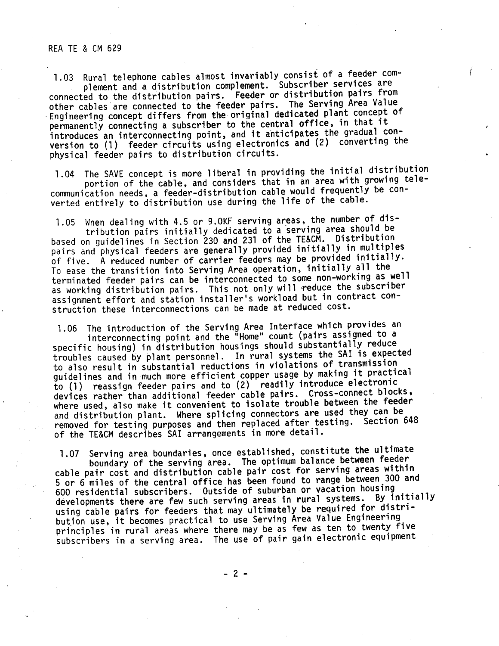#### REA TE & CM 629

1.03 Rural telephone cables almost invariably consist of a feeder com-<br>plement and a distribution complement. Subscriber services are connected to the distribution pairs. Feeder or distribution pairs from other cables are connected to the feeder pairs. The Serving Area Value ·Engineering concept differs from the original dedicated plant concept of permanently connecting a subscriber to the central office, in that it<br>introduces an interconnecting point, and it anticipates the gradual conversion to (1) feeder circuits using electronics and (2) converting the <sup>p</sup>hysical feeder pairs to distribution circuits.

1.04 The SAVE concept is more liberal in providing the initial distribution<br>portion of the cable, and considers that in an area with growing telecommunication needs, a feeder-distribution cable would frequently be converted entirely to distribution use during the life of the cable.

1.05 When dealing with 4.5 or 9.0KF serving areas, the number of dis tribution pairs initially dedicated to a serving area should be based on guidelines in Section 230 and 231 of the TE&CM. Distribution pairs and physical feeders are generally provided initially in multiples of five. A reduced number of carrier feeders may be provided initially. To ease the transition into Serving Area operation, initially all the terminated feeder pairs can be interconnected to some non-working as well assignment effort and station installer's workload but in contract con-<br>struction these interconnections can be made at reduced cost.

1.06 The introduction of the Serving Area Interface which provides an interconnecting point and the "Home" count (pairs assigned to a<br>specific housing) in distribution housings should substantially reduce troubles caused by plant personnel. In rural systems the SAI is expected to also result in substantial reductions in violations of transmission guidelines and in much more efficient copper usage by making it practical to (1) reassign feeder pairs and to (2) readily introduce electronic devices rather than additional feeder cable pairs. Cross-connect blocks, where used, also make it convenient to isolate trouble between the feeder and distribution plant. Where splicing connectors are used they can be removed for testing purposes and then replaced after testing. Section <sup>648</sup> of the TE&CM describes SAI arrangements in more detail.

1.07 Serving area boundaries, once established, constitute the ultimate boundary of the serving area. The optimum balance between feeder cable pair cost and distribution cable pair cost for serving areas within <sup>5</sup>or 6 miles of the central office has been found to range between 300 and 600 residential subscribers. Outside of suburban or vacation housing<br>developments there are few such serving areas in rural systems. By initially using cable pairs for feeders that may ultimately be required for distri-<br>bution use, it becomes practical to use Serving Area Value Engineering principles in rural areas where there may be as few as ten to twenty five subscribers in a serving area. The use of pair gain electronic equipment

- 2 -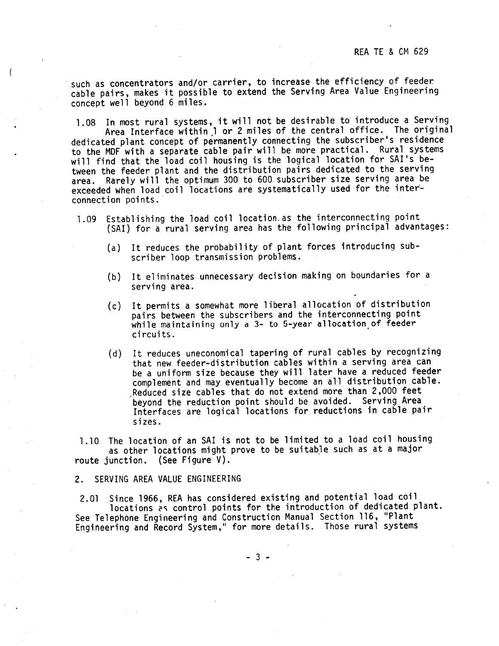such as concentrators and/or carrier, to increase the efficiency of feeder cable pairs, makes it possible to extend the Serving Area Value Engineering concept well beyond 6 miles.

1.08 In most rural systems, it will not be desirable to introduce a Serving Area Interface within) or 2 miles of the central office. The original dedicated plant concept of permanently connecting the subscriber's residence to the MDF with a separate cable pair will be more practical. Rural systems will find that the load coil housing is the logical location for SAl's between the feeder plant and the distribution pairs dedicated to the serving<br>area. Rarely will the optimum 300 to 600 subscriber size serving area be exceeded when load coil locations are systematically used for the interconnection points.·

- 1.09 Establishing the load coil location.as the interconnecting point {SAl} for a rural serving area has the following principal advantages:
	- (a) It reduces the probability of plant forces introducing sub scriber loop transmission problems.
	- (b) It eliminates unnecessary decision making on boundaries for a serving area.
	- (c) It permits a somewhat more liberal allocation of distribution pairs between the subscribers and the interconnecting point while maintaining only a 3- to 5-year allocation of feeder circuits.
	- (d) It reduces uneconomical tapering of rural cables by recognizing that new feeder-distribution cables within a serving area can be a uniform size because they will <sup>1</sup>ater have a reduced feeder complement and may eventually become an all distribution cable. Reduced size cables that do not extend more than 2,000 feet<br>beyond the reduction point should be avoided. Serving Area Interfaces are logical locations for reductions in cable pair sizes.

1.10 The location of an SAl is not to be limited to a load coil housing as other locations might prove to be suitable such as at a major route junction. (See Figure  $V$ ).

2. SERVING AREA VALUE ENGINEERING

2.01 Since 1966, REA has considered existing and potential load coil locations as control points for the introduction of dedicated plant. See Telephone Engineering and Construction Manual Section 116, "Plant<br>Engineering and Record System," for more details. Those rural systems

- 3 -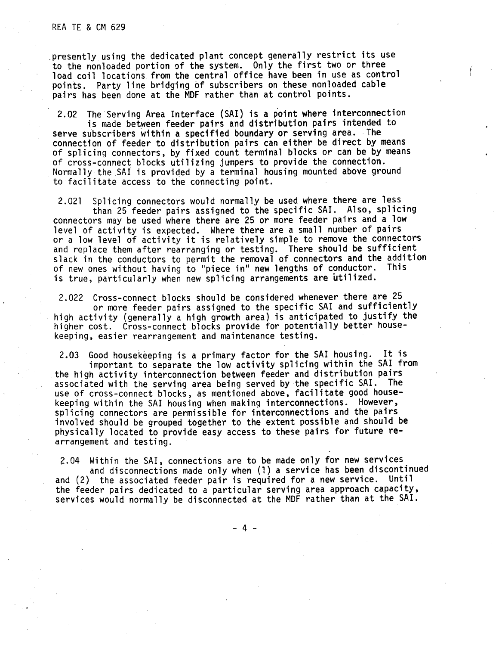#### REA TE & CM 629

.presently using the dedicated plant concept generally restrict its use to the nonloaded portion of the system. Only the first two or three load coil locations. from the central office have been in use as control points. Party line bridging of subscribers on these nonloaded cable pairs has been done at the MDF rather than at control points.

2.02 The Serving Area Interface (SAl) is a point where interconnection is made between feeder pairs and distribution pairs intended to serve subscribers within a specified boundary or serving area. The connection of feeder to distribution pairs can either be direct by means of splicing connectors, by fixed count terminal blocks or can be by means of cross-connect blocks utilizing jumpers to provide the connection. Normally the SAI is provided by a terminal housing mounted above ground to facilitate access to the connecting point.

2.021 Splicing connectors would normally be used where there are less than 25 feeder pairs assigned to the specific SAl. Also, splicing connectors may be used where there are 25 or more feeder pairs and a low level of activity is expected. Where there are a small number of pairs or <sup>a</sup>low level of activity it is relatively simple to remove the connectors and replace them after rearranging or testing. There should be sufficient slack in the conductors to permit the removal of connectors and the addition<br>of new ones without having to "piece in" new lengths of conductor. This of new ones without having to "piece in" new lengths of conductor. is true, particularly when new splicing arrangements are utilized.

2.022 Cross-connect blocks should be considered whenever there are 25 or more feeder pairs assigned to the specific SAl and sufficiently high activity (generally a high growth area) is anticipated to justify the<br>higher cost. Cross-connect blocks provide for potentially better housekeeping, easier rearrangement and maintenance testing.

2.03 Good housekeeping is a primary factor for the SAl housing. It is important to separate the low activity splicing within the SAl from the high activity interconnection between feeder and distribution pairs<br>associated with the serving area being served by the specific SAI. The use of cross-connect blocks, as mentioned above, facilitate good housekeeping within the SAl housing when making interconnections. However, splicing connectors are permissible for interconnections and the pairs<br>involved should be grouped together to the extent possible and should be physically located to provide easy access to these pairs for future rearrangement and testing.

2.04 Within the SAl, connections are to be made only for new services

and disconnections made only when (1) a service has been discontinued and (2) the associated feeder pair is required for a new service. Until the feeder pairs dedicated to a particular serving area approach capacity, services would normally be disconnected at the MDF rather than at the SAl.

- 4 -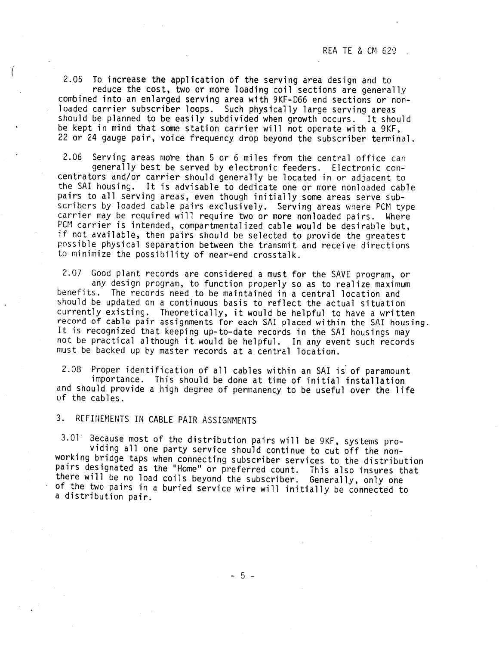2.05 To increase the application of the serving area design and to<br>reduce the cost, two or more loading coil sections are generally<br>combined into an enlarged serving area with 9KF-D66 end sections or non-<br>loaded carrier su

 $2.06$  Serving areas more than 5 or 6 miles from the central office can generally best be served by electronic feeders. Electronic concentrators and/or carrier should generally be located in or adjacent to the SAI housing. It is advisable to dedicate one or more nonloaded cable pairs to all serving areas, even though initially some areas serve sub-<br>scribers by loaded cable pairs exclusively. Serving areas where PCM type<br>carrier may be required will require two or more nonloaded pairs. Where<br>PCM c if not available, then pairs should be selected to provide the greatest possible physical separation between the transmit and receive directions to minimize the possibility of near-end crosstalk.

2.07 Good plant records are considered a must for the SAVE program, or any design program, to function properly so as to realize maximum any design program, to function properly so as to realize maximum benefits. The records need to be maintained in a central location and should be updated on a continuous basis to reflect the actual situation<br>currently existing. Theoretically, it would be helpful to have a written record of cable pair assignments for each SAI placed within the SAI housing.<br>It is recognized that keeping up-to-date records in the SAI housings may<br>not be practical although it would be helpful. In any event such records must be backed up by master records at a central location.

2.08 Proper identification of all cables within an SAI is of paramount importance. This should be done at time of initial installation and should provide a high degree of permanency to be useful over the life of the cables

3. REFINEMENTS IN CABLE PAIR ASSIGNMENTS

(

3.01 Because most of the distribution pairs will be 9KF, systems pro-<br>viding all one party service should continue to cut off the non-<br>working bridge taps when connecting subscriber services to the distribution<br>pairs desig there will be no load coils beyond the subscriber. Generally, only one of the two pairs in a buried service wire will initially be connected to a distribution pair.

- 5 -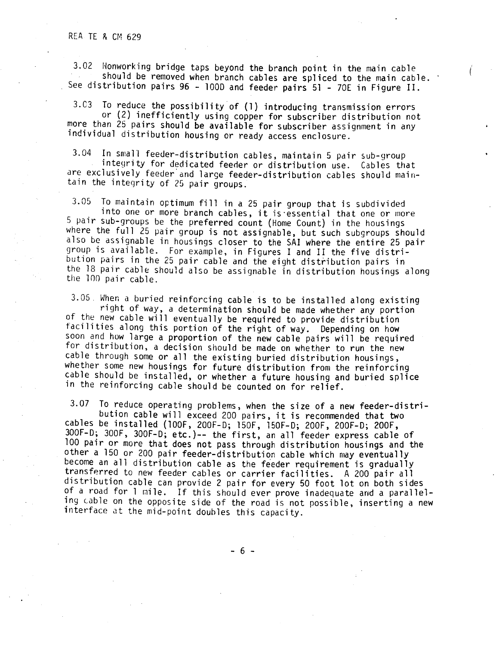3.02 Honworking bridge taps beyond the branch point in the main cable should be removed when branch cables are spliced to the main ~able. See distribution pairs 96 - <sup>1000</sup>and feeder pairs 51 - 70E in Figure II.

3.C3 To reduce the possibility of (1) introducing transmission errors or {2) inefficiently using copper for subscriber distribution not more than 25 pairs should be available for subscriber assignment in any individual distribution housing or ready access enclosure.

3.04 In small feeder-distribution cables, maintain 5 pair sub-group ntegrity for dedicated feeder or distribution use. Cables that are exclusively feeder and large feeder-distribution cables should main-<br>tain the integrity of 25 pair groups.

3.05 To maintain optimum fill in a 25 pair group that is subdivided<br>into one or more branch cables, it is essential that one or more<br>5 pair sub-groups be the preferred count (Home Count) in the housings<br>where the full 25 p bution pairs in the 25 pair cable and the eight distribution pairs in<br>the 18 pair cable should also be assignable in distribution housings along<br>the 100 pair cable.

3.05. When a buried reinforcing cable is to be installed along existing<br>right of way, a determination should be made whether any portion<br>of the new cable will eventually be required to provide distribution<br>facilities along for distribution, a decision should be made on whether to run the new<br>cable through some or all the existing buried distribution housings,<br>whether some new housings for future distribution from the reinforcing<br>cable should

3.07 To reduce operating problems, when the size of a new feeder-distribution cable will exceed 200 pairs, it is recommended that two cables be installed (100F, 200F-D; 150F, 150F-D; 200F, 200F-D; 200F, 300F-D; 300F-D; et of a road for 1 mile. If this should ever prove inadequate and a paralleling cable on the opposite side of the road is not possible, inserting a new interface at the mid-point doubles this capacity.

- 6 -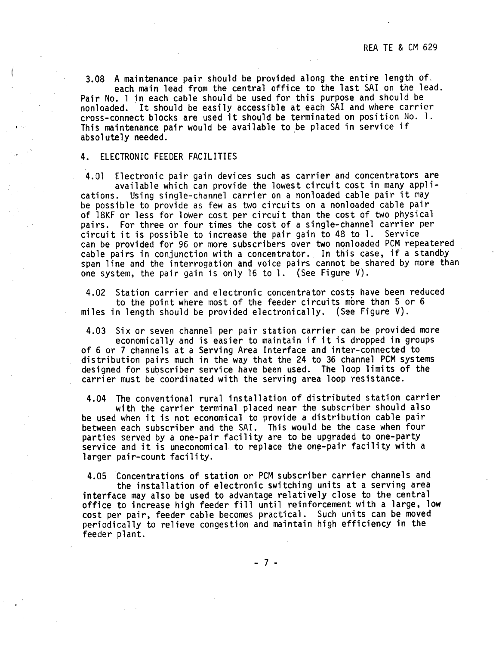3.08 A maintenance pair should be provided along the entire length of. each main lead from the central office to the last SAI on the lead. Pair No. 1 in each cable should be used for this purpose and should be nonloaded. It should be easily accessible at each SAI and where carrier cross-connect blocks are used it should be terminated on position No. 1. This maintenance pair would be available to be placed in service if absolutely needed.

#### 4. ELECTRONIC FEEDER FACILITIES

4.01 Electronic pair gain devices such as carrier and concentrators are available which can provide the lowest circuit cost in many applications. Using single-channel carrier on a nonloaded cable pair it may be possible to provide as few as two circuits on a nonloaded cable pair of l8KF or less for lower cost per circujt than the cost of two physical pairs. For three or four times the cost of a single-channel carrier per circuit it is possible to increase the pair gain to 48 to 1. Service can be provided for 96 or more subscribers over two nonloaded PCM repeatered cable pairs in conjunction with a concentrator. In this case, if a standby span line and the interrogation and voice pairs cannot be shared by more than one system, the pair gain is only 16 to 1. (See Figure V).

4.02 Station carrier and electronic concentrator costs have been reduced to the point where most of the feeder circuits more than 5 or 6 miles in length should be provided electronically. (See Figure V).

4.03 Six or seven channel per pair station carrier can be provided more economically and is easier to maintain if it is dropped in groups of 6 or 7 channels at a Serving Area Interface and inter-connected to distribution pairs much in the way that the 24 to 36 channel PCM systems designed for subscriber service have been used. The loop limits of the carrier must be coordinated with the serving area loop resistance.

4.04 The conventional rural installation of distributed station carrier with the carrier terminal placed near the subscriber should also be used when it is not economical to provide a distribution cable pair between each subscriber and the SAI. This would be the case when four parties served by a one-pair facility are to be upgraded to one-party service and it is uneconomical to replace the one-pair facility with a larger pair-count facility.

4.05 Concentrations of station or PCM subscriber carrier channels and the installation of electronic switching units at a serving area<br>interface may also be used to advantage relatively close to the central office to increase high feeder fill until reinforcement with a large, low cost per pair, feeder cable becomes practical. Such units can be moved periodically to relieve congestion and maintain high efficiency in the feeder plant.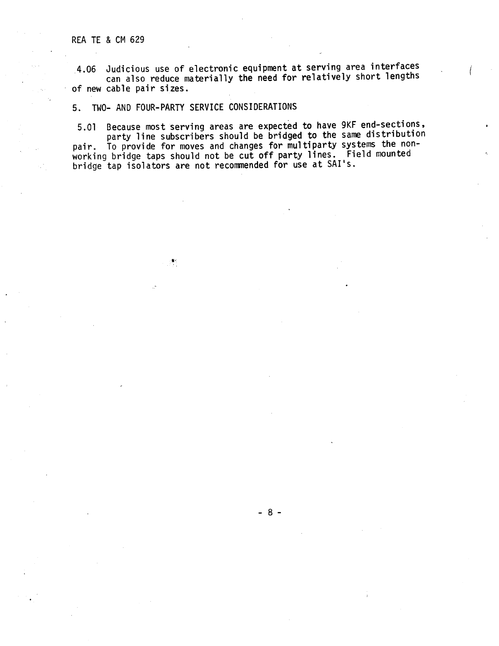4.06 Judicious use of electronic equipment at serving area interfaces can also reduce materially the need for relatively short lengths of new cable pair sizes.

5. TWO- AND FOUR-PARTY SERVICE CONSIDERATIONS

5.01 Because most serving areas are expected to have 9KF end-sections, party line subscribers should be bridged to the same distribution<br>To provide for moves and changes for multiparty systems the nonpair. To provide for moves and changes for multiparty systems the non-<br>working bridge taps should not be cut off party lines. Field mounted bridge tap isolators are not recommended for use at SAI•s.

- 8 -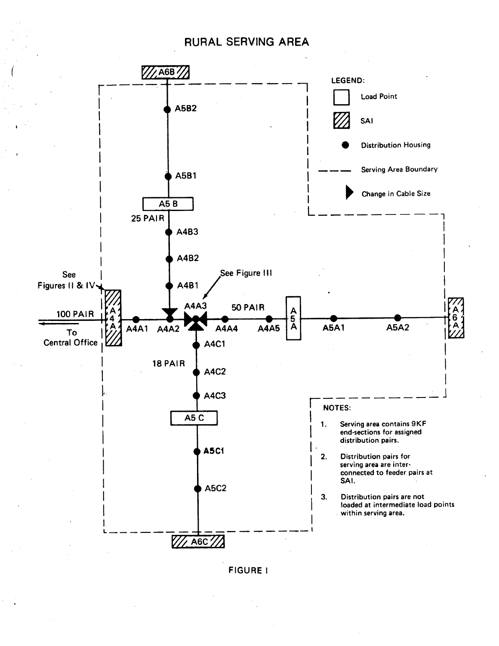# RURAL SERVING AREA



FIGURE I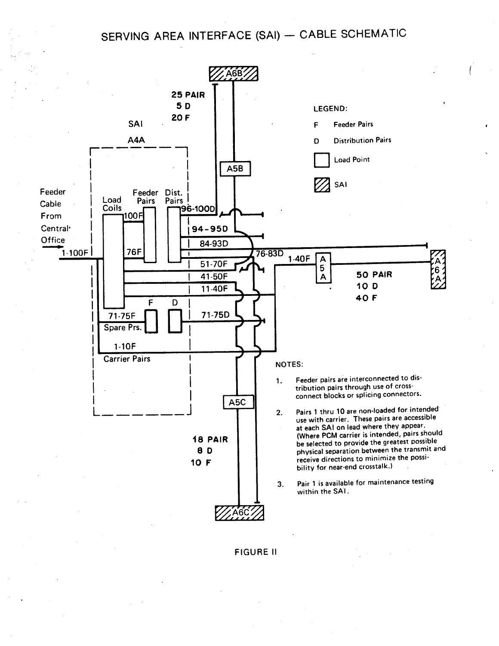# SERVING AREA INTERFACE (SAI) - CABLE SCHEMATIC



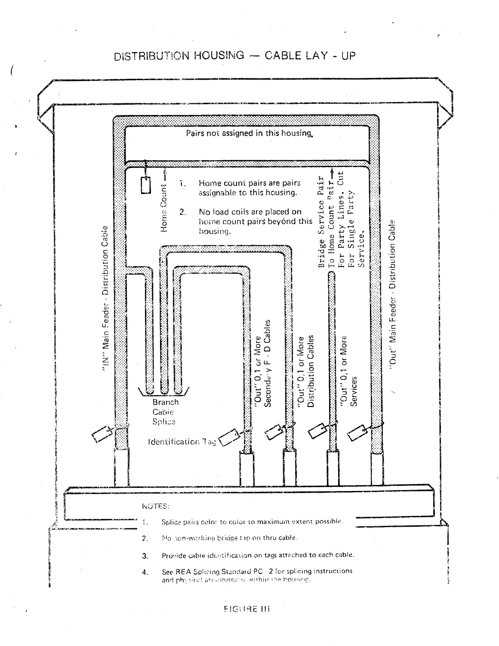# DISTRIBUTION HOUSING - CABLE LAY - UP



## **FIGURE III**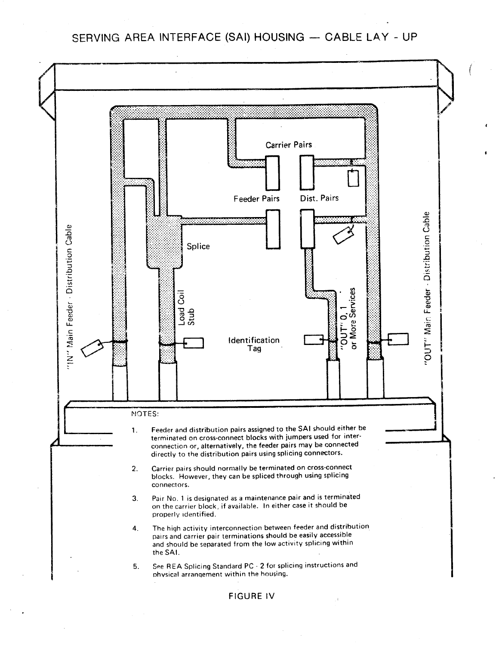SERVING AREA INTERFACE (SAI) HOUSING - CABLE LAY - UP